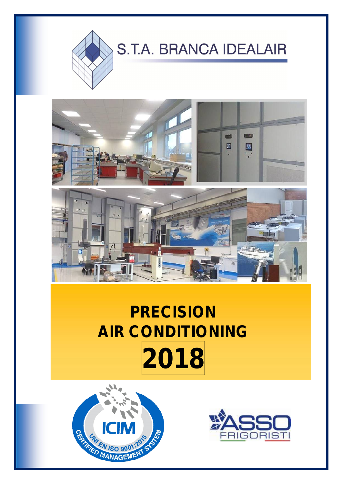

### í



### **PRECISION AIR CONDITIONING 2018**



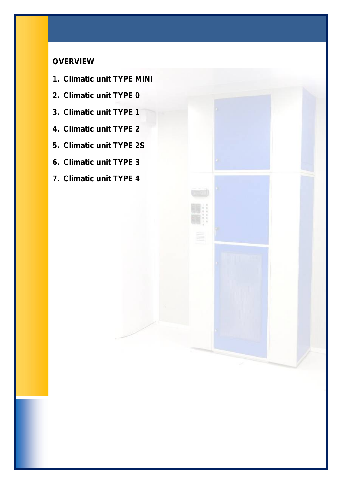#### **OVERVIEW**

- **1. Climatic unit TYPE MINI**
- **2. Climatic unit TYPE 0**
- **3. Climatic unit TYPE 1**
- **4. Climatic unit TYPE 2**
- **5. Climatic unit TYPE 2S**
- **6. Climatic unit TYPE 3**
- **7. Climatic unit TYPE 4**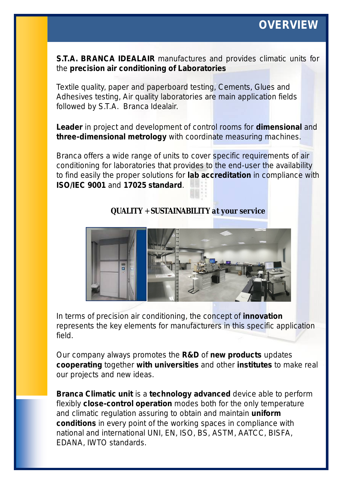### **OVERVIEW**

**S.T.A. BRANCA IDEALAIR** manufactures and provides climatic units for the **precision air conditioning of Laboratories**

Textile quality, paper and paperboard testing, Cements, Glues and Adhesives testing, Air quality laboratories are main application fields followed by S.T.A. Branca Idealair.

**Leader** in project and development of control rooms for **dimensional** and **three-dimensional metrology** with coordinate measuring machines.

Branca offers a wide range of units to cover specific requirements of air conditioning for laboratories that provides to the end-user the availability to find easily the proper solutions for **lab accreditation** in compliance with **ISO/IEC 9001** and **17025 standard**.

#### *QUALITY* + *SUSTAINABILITY at your service*



In terms of precision air conditioning, the concept of **innovation** represents the key elements for manufacturers in this specific application field.

Our company always promotes the **R&D** of **new products** updates **cooperating** together **with universities** and other **institutes** to make real our projects and new ideas.

**Branca Climatic unit** is a **technology advanced** device able to perform flexibly **close-control operation** modes both for the only temperature and climatic regulation assuring to obtain and maintain **uniform conditions** in every point of the working spaces in compliance with national and international UNI, EN, ISO, BS, ASTM, AATCC, BISFA, EDANA, IWTO standards.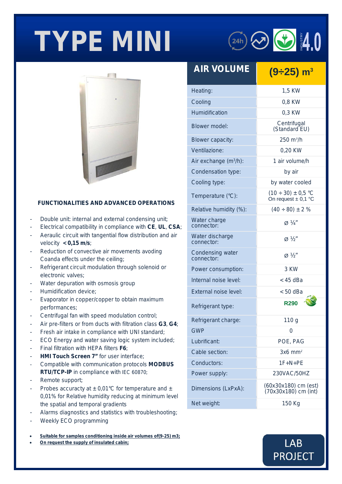# **TYPE MINI**



#### **FUNCTIONALITIES AND ADVANCED OPERATIONS**

- Double unit: internal and external condensing unit;
- Electrical compatibility in compliance with **CE**, **UL**, **CSA**;
- Aeraulic circuit with tangential flow distribution and air velocity **< 0,15 m/s**;
- Reduction of convective air movements avoding Coanda effects under the ceiling;
- Refrigerant circuit modulation through solenoid or electronic valves;
- Water depuration with osmosis group
- Humidification device:
- Evaporator in copper/copper to obtain maximum performances;
- Centrifugal fan with speed modulation control;
- Air pre-filters or from ducts with filtration class **G3**, **G4**;
- Fresh air intake in compliance with UNI standard;
- ECO Energy and water saving logic system included;
- Final filtration with HEPA filters *F6*;
- **HMI Touch Screen 7"** for user interface:
- Compatible with communication protocols **MODBUS RTU/TCP-IP** in compliance with *IEC 60870*;
- Remote support;
- Probes accuracty at  $\pm$  0,01°C for temperature and  $\pm$ 0,01% for Relative humidity reducing at minimum level the spatial and temporal gradients
- Alarms diagnostics and statistics with troubleshooting;
- Weekly ECO programming
- *Suitable for samples conditioning inside air volumes of(9-25) m3;*
- *On request the supply of insulated cabin;*

| <b>AIR VOLUME</b>              | $(9-25)$ m <sup>3</sup>                              |
|--------------------------------|------------------------------------------------------|
| Heating:                       | 1,5 KW                                               |
| Cooling                        | 0,8 KW                                               |
| Humidification                 | 0.3 KW                                               |
| Blower model:                  | Centrifugal<br>(Standard EU)                         |
| <b>Blower capacity:</b>        | $250 \text{ m}^3$ /h                                 |
| Ventilazione:                  | 0,20 KW                                              |
| Air exchange $(m^3/h)$ :       | 1 air volume/h                                       |
| Condensation type:             | by air                                               |
| Cooling type:                  | by water cooled                                      |
| Temperature (°C):              | $(10 \div 30) \pm 0.5$ °C<br>On request $\pm$ 0,1 °C |
| Relative humidity (%):         | $(40 \div 80) \pm 2 \%$                              |
| Water charge<br>connector:     | $\varnothing$ 1/4"                                   |
| Water discharge<br>connector:  | $\varnothing \not\!\!\!\!\! \vee_2$ "                |
| Condensing water<br>connector: | $\varnothing \not\!\!\!\!\! \vee_2$ "                |
| Power consumption:             | 3 KW                                                 |
| Internal noise level:          | $<$ 45 dBa                                           |
| External noise level:          | $< 50$ dBa                                           |
| Refrigerant type:              | <b>R290</b>                                          |
| Refrigerant charge:            | 110 <sub>g</sub>                                     |
| <b>GWP</b>                     | 0                                                    |
| Lubrificant:                   | POE, PAG                                             |
| Cable section:                 | $3x6$ mm <sup>2</sup>                                |
| Conductors:                    | 1F+N+PF                                              |
| Power supply:                  | 230VAC/50HZ                                          |
| Dimensions (LxPxA):            | (60x30x180) cm (est)<br>(70x30x180) cm (int)         |
| Net weight:                    | 150 Kg                                               |

 $(24h)$   $\odot$   $\odot$   $10$ 

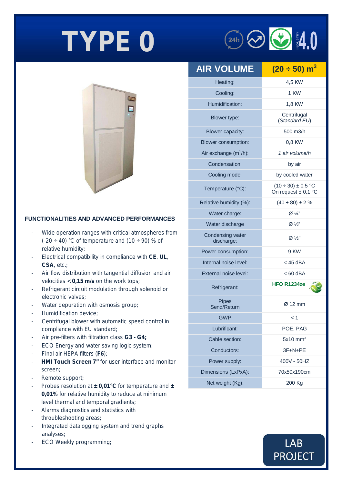

#### **FUNCTIONALITIES AND ADVANCED PERFORMANCES**

- Wide operation ranges with critical atmospheres from  $(-20 \div 40)$  °C of temperature and  $(10 \div 90)$  % of relative humidity;
- Electrical compatibility in compliance with **CE**, **UL**, **CSA**, etc.;
- Air flow distribution with tangential diffusion and air velocities < **0,15 m/s** on the work tops;
- Refrigerant circuit modulation through solenoid or electronic valves;
- Water depuration with osmosis group;
- Humidification device;
- Centrifugal blower with automatic speed control in compliance with EU standard;
- Air pre-filters with filtration class *G3 - G4;*
- ECO Energy and water saving logic system;
- Final air HEPA filters (*F6*);
- **HMI Touch Screen 7"** for user interface and monitor screen;
- Remote support;
- Probes resolution at **± 0,01°C** for temperature and **± 0,01%** for relative humidity to reduce at minimum level thermal and temporal gradients;
- Alarms diagnostics and statistics with throubleshooting areas;
- Integrated datalogging system and trend graphs analyses;
- ECO Weekly programming;

| <b>AIR VOLUME</b>              | $(20 \div 50)$ m <sup>3</sup>                        |
|--------------------------------|------------------------------------------------------|
| Heating:                       | 4,5 KW                                               |
| Cooling:                       | 1 KW                                                 |
| Humidification:                | 1,8 KW                                               |
| Blower type:                   | Centrifugal<br>(Standard EU)                         |
| Blower capacity:               | 500 m3/h                                             |
| Blower consumption:            | 0,8 KW                                               |
| Air exchange $(m^3/h)$ :       | 1 air volume/h                                       |
| Condensation:                  | by air                                               |
| Cooling mode:                  | by cooled water                                      |
| Temperature (°C):              | $(10 \div 30) \pm 0.5$ °C<br>On request $\pm$ 0,1 °C |
| Relative humidity (%):         | $(40 \div 80) \pm 2 \%$                              |
| Water charge:                  | $\varnothing \frac{1}{4}$                            |
| Water discharge                | $Ø\frac{1}{2}$                                       |
| Condensing water<br>discharge: | $Ø\frac{1}{2}$                                       |
| Power consumption:             | 9 KW                                                 |
| Internal noise level:          | $<$ 45 dBA                                           |
| External noise level:          | < 60 dBA                                             |
| Refrigerant:                   | HFO R1234ze                                          |
| <b>Pipes</b><br>Send/Return    | $\varnothing$ 12 mm                                  |
| <b>GWP</b>                     | < 1                                                  |
| Lubrificant:                   | POE, PAG                                             |
| Cable section:                 | $5x10$ mm <sup>2</sup>                               |
| Conductors:                    | 3F+N+PE                                              |
| Power supply:                  | 400V - 50HZ                                          |
| Dimensions (LxPxA):            | 70x50x190cm                                          |
| Net weight (Kg):               | 200 Kg                                               |

 $\circled{24h}$   $\odot$   $\bullet$   $4.0$ 

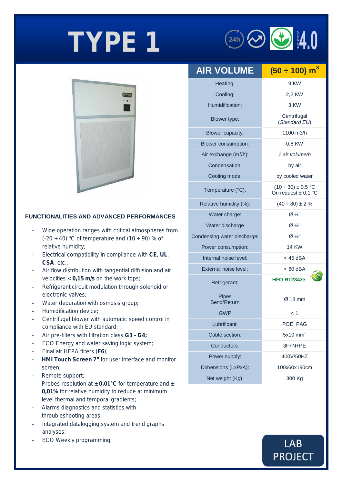# **TYPE 1**  $\qquad \qquad ^{(24h)}$





#### **FUNCTIONALITIES AND ADVANCED PERFORMANCES**

- Wide operation ranges with critical atmospheres from (-20  $\div$  40) °C of temperature and (10  $\div$  90) % of relative humidity;
- Electrical compatibility in compliance with **CE**, **UL**, **CSA**, etc.;
- Air flow distribution with tangential diffusion and air velocities < **0,15 m/s** on the work tops;
- Refrigerant circuit modulation through solenoid or electronic valves;
- Water depuration with osmosis group;
- Humidification device;
- Centrifugal blower with automatic speed control in compliance with EU standard;
- Air pre-filters with filtration class *G3 - G4;*
- ECO Energy and water saving logic system;
- Final air HEPA filters (F6);
- **HMI Touch Screen 7"** for user interface and monitor screen;
- Remote support;
- Probes resolution at **± 0,01°C** for temperature and **± 0,01%** for relative humidity to reduce at minimum level thermal and temporal gradients;
- Alarms diagnostics and statistics with throubleshooting areas;
- Integrated datalogging system and trend graphs analyses;
- ECO Weekly programming;

| <b>AIR VOLUME</b>           | $(50 \div 100) \text{ m}^3$                          |
|-----------------------------|------------------------------------------------------|
| Heating:                    | 9 KW                                                 |
| Cooling:                    | 2,2 KW                                               |
| Humidification:             | 3 KW                                                 |
| Blower type:                | Centrifugal<br>(Standard EU)                         |
| Blower capacity:            | 1100 m3/h                                            |
| Blower consumption:         | 0,8 KW                                               |
| Air exchange $(m^3/h)$ :    | 1 air volume/h                                       |
| Condensation:               | by air                                               |
| Cooling mode:               | by cooled water                                      |
| Temperature (°C):           | $(10 \div 30) \pm 0.5$ °C<br>On request $\pm$ 0,1 °C |
| Relative humidity (%):      | $(40 \div 80) \pm 2 \%$                              |
| Water charge:               | Ø 1/4"                                               |
| Water discharge             | $\varnothing$ 1/2"                                   |
| Condensing water discharge: | $Ø\frac{1}{2}$ "                                     |
| Power consumption:          | <b>14 KW</b>                                         |
| Internal noise level:       | $<$ 45 dBA                                           |
| External noise level:       | $< 60$ dBA                                           |
| Refrigerant:                | <b>HFO R1234ze</b>                                   |
| <b>Pipes</b><br>Send/Return | $Ø$ 18 mm                                            |
| <b>GWP</b>                  | < 1                                                  |
| Lubrificant:                | POE, PAG                                             |
| Cable section:              | $5x10$ mm <sup>2</sup>                               |
| Conductors:                 | 3F+N+PE                                              |
| Power supply:               | 400V/50HZ                                            |
| Dimensions (LxPxA):         | 100x60x190cm                                         |
| Net weight (Kg):            | 300 Kg                                               |

### **LAB PROJECT**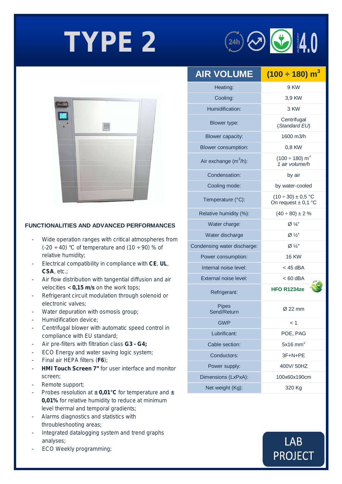



#### **FUNCTIONALITIES AND ADVANCED PERFORMANCES**

- Wide operation ranges with critical atmospheres from  $(-20 \div 40)$  °C of temperature and  $(10 \div 90)$  % of relative humidity;
- Electrical compatibility in compliance with **CE**, **UL**, **CSA**, etc.;
- Air flow distribution with tangential diffusion and air velocities < **0,15 m/s** on the work tops;
- Refrigerant circuit modulation through solenoid or electronic valves;
- Water depuration with osmosis group;
- Humidification device;
- Centrifugal blower with automatic speed control in compliance with EU standard;
- Air pre-filters with filtration class *G3 - G4;*
- ECO Energy and water saving logic system;
- Final air HEPA filters (*F6*);
- **HMI Touch Screen 7"** for user interface and monitor screen;
- Remote support;
- Probes resolution at **± 0,01°C** for temperature and **± 0,01%** for relative humidity to reduce at minimum level thermal and temporal gradients;
- Alarms diagnostics and statistics with throubleshooting areas;
- Integrated datalogging system and trend graphs analyses;
- ECO Weekly programming;

| <b>AIR VOLUME</b>           | $(100 \div 180)$ m <sup>3</sup>                                              |
|-----------------------------|------------------------------------------------------------------------------|
| Heating:                    | 9 KW                                                                         |
| Cooling:                    | 3,9 KW                                                                       |
| Humidification:             | 3 KW                                                                         |
| Blower type:                | Centrifugal<br>(Standard EU)                                                 |
| <b>Blower capacity:</b>     | 1600 m3/h                                                                    |
| Blower consumption:         | 0,8 KW                                                                       |
| Air exchange $(m^3/h)$ :    | $(100 \div 180)$ m <sup>3</sup><br>1 air volume/h                            |
| Condensation:               | by air                                                                       |
| Cooling mode:               | by water-cooled                                                              |
| Temperature (°C):           | $(10 \div 30) \pm 0.5$ °C<br>On request $\pm$ 0,1 °C                         |
| Relative humidity (%):      | $(40 \div 80) \pm 2 \%$                                                      |
| Water charge:               | $\varnothing \mathrel{\vee\hspace{-0.14cm}\mid\hspace{-0.14cm} \mathrel{1}}$ |
| Water discharge             | $Ø\frac{1}{2}$                                                               |
| Condensing water discharge: | $Ø\frac{1}{2}$ "                                                             |
| Power consumption:          | <b>16 KW</b>                                                                 |
| Internal noise level:       | < 45 dBA                                                                     |
| External noise level:       | $< 60$ dBA                                                                   |
| Refrigerant:                | <b>HFO R1234ze</b>                                                           |
| <b>Pipes</b><br>Send/Return | Ø 22 mm                                                                      |
| <b>GWP</b>                  | < 1                                                                          |
| Lubrificant:                | POE, PAG                                                                     |
| Cable section:              | $5x16$ mm <sup>2</sup>                                                       |
| Conductors:                 | 3F+N+PE                                                                      |
| Power supply:               | 400V/50HZ                                                                    |
| Dimensions (LxPxA):         | 100x60x190cm                                                                 |
| Net weight (Kg):            | 320 Kg                                                                       |

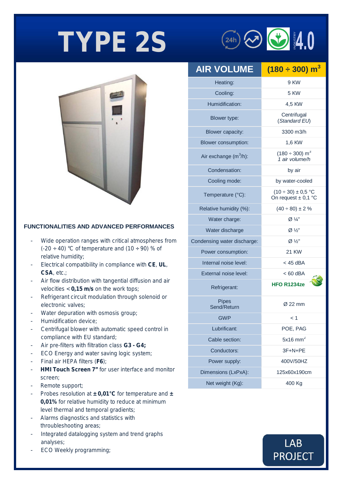## **TYPE 2S**



#### **FUNCTIONALITIES AND ADVANCED PERFORMANCES**

- Wide operation ranges with critical atmospheres from  $(-20 \div 40)$  °C of temperature and  $(10 \div 90)$  % of relative humidity;
- Electrical compatibility in compliance with **CE**, **UL**, **CSA**, etc.;
- Air flow distribution with tangential diffusion and air velocities < **0,15 m/s** on the work tops;
- Refrigerant circuit modulation through solenoid or electronic valves;
- Water depuration with osmosis group;
- Humidification device;
- Centrifugal blower with automatic speed control in compliance with EU standard;
- Air pre-filters with filtration class *G3 - G4;*
- ECO Energy and water saving logic system;
- Final air HEPA filters (*F6*);
- **HMI Touch Screen 7"** for user interface and monitor screen;
- Remote support;
- Probes resolution at **± 0,01°C** for temperature and **± 0,01%** for relative humidity to reduce at minimum level thermal and temporal gradients;
- Alarms diagnostics and statistics with throubleshooting areas;
- Integrated datalogging system and trend graphs analyses;
- ECO Weekly programming;

| <b>AIR VOLUME</b>           | $(180 \div 300)$ m <sup>3</sup>                      |
|-----------------------------|------------------------------------------------------|
| Heating:                    | 9 KW                                                 |
| Cooling:                    | 5 KW                                                 |
| Humidification:             | 4,5 KW                                               |
| Blower type:                | Centrifugal<br>(Standard EU)                         |
| <b>Blower capacity:</b>     | 3300 m3/h                                            |
| Blower consumption:         | 1,6 KW                                               |
| Air exchange $(m^3/h)$ :    | $(180 \div 300)$ m <sup>3</sup><br>1 air volume/h    |
| Condensation:               | by air                                               |
| Cooling mode:               | by water-cooled                                      |
| Temperature (°C):           | $(10 \div 30) \pm 0.5$ °C<br>On request $\pm$ 0,1 °C |
| Relative humidity (%):      | $(40 \div 80) \pm 2 \%$                              |
| Water charge:               | $\varnothing$ ¼"                                     |
| Water discharge             | $\varnothing$ ½"                                     |
| Condensing water discharge: | $Ø\frac{1}{2}$ "                                     |
| Power consumption:          | <b>21 KW</b>                                         |
| Internal noise level:       | $<$ 45 dBA                                           |
| External noise level:       | $< 60$ dBA                                           |
| Refrigerant:                | <b>HFO R1234ze</b>                                   |
| <b>Pipes</b><br>Send/Return | $\varnothing$ 22 mm                                  |
| <b>GWP</b>                  | $\leq$ 1                                             |
| Lubrificant:                | POE, PAG                                             |
| Cable section:              | $5x16$ mm <sup>2</sup>                               |
| Conductors:                 | 3F+N+PE                                              |
| Power supply:               | 400V/50HZ                                            |
| Dimensions (LxPxA):         | 125x60x190cm                                         |
| Net weight (Kg):            | 400 Kg                                               |
|                             |                                                      |

**LAB** 

**PROJECT** 

 $(24h)$   $\odot$   $\odot$   $4.0$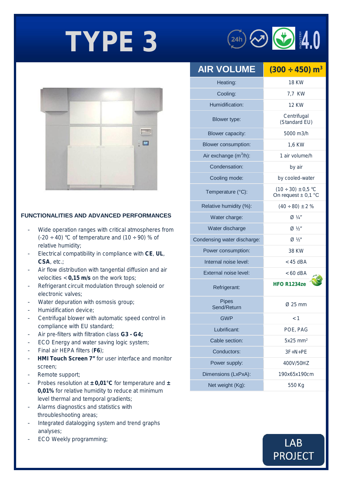



#### **FUNCTIONALITIES AND ADVANCED PERFORMANCES**

- Wide operation ranges with critical atmospheres from  $(-20 \div 40)$  °C of temperature and  $(10 \div 90)$  % of relative humidity;
- Electrical compatibility in compliance with **CE**, **UL**, **CSA**, etc.;
- Air flow distribution with tangential diffusion and air velocities < **0,15 m/s** on the work tops;
- Refrigerant circuit modulation through solenoid or electronic valves;
- Water depuration with osmosis group;
- Humidification device:
- Centrifugal blower with automatic speed control in compliance with EU standard;
- Air pre-filters with filtration class *G3 - G4;*
- ECO Energy and water saving logic system;
- Final air HEPA filters (*F6*);
- **HMI Touch Screen 7"** for user interface and monitor screen;
- Remote support;
- Probes resolution at **± 0,01°C** for temperature and **± 0,01%** for relative humidity to reduce at minimum level thermal and temporal gradients;
- Alarms diagnostics and statistics with throubleshooting areas;
- Integrated datalogging system and trend graphs analyses;
- ECO Weekly programming;

| <b>AIR VOLUME</b>           | $(300 \div 450)$ m <sup>3</sup>                      |
|-----------------------------|------------------------------------------------------|
| Heating:                    | <b>18 KW</b>                                         |
| Cooling:                    | 7,7 KW                                               |
| Humidification:             | <b>12 KW</b>                                         |
| Blower type:                | Centrifugal<br>(Standard EU)                         |
| Blower capacity:            | 5000 m3/h                                            |
| <b>Blower consumption:</b>  | 1,6 KW                                               |
| Air exchange $(m^3/h)$ :    | 1 air volume/h                                       |
| Condensation:               | by air                                               |
| Cooling mode:               | by cooled-water                                      |
| Temperature (°C):           | $(10 \div 30) \pm 0.5$ °C<br>On request $\pm$ 0,1 °C |
| Relative humidity (%):      | $(40 \div 80) \pm 2 \%$                              |
| Water charge:               | $Ø$ 1/4"                                             |
| Water discharge             | $Ø$ $V_2$ "                                          |
| Condensing water discharge: | $Ø$ $V_2$ "                                          |
| Power consumption:          | <b>38 KW</b>                                         |
| Internal noise level:       | $<$ 45 dBA                                           |
| External noise level:       | $< 60$ dBA                                           |
| Refrigerant:                | <b>HFO R1234ze</b>                                   |
| <b>Pipes</b><br>Send/Return | $Ø$ 25 mm                                            |
| GWP                         | $\leq$ 1                                             |
| Lubrificant:                | POE, PAG                                             |
| Cable section:              | $5x25$ mm <sup>2</sup>                               |
| Conductors:                 | $3F + N + PE$                                        |
| Power supply:               | 400V/50HZ                                            |
| Dimensions (LxPxA):         | 190x65x190cm                                         |
| Net weight (Kg):            | 550 Kg                                               |

### **LAB PROJECT**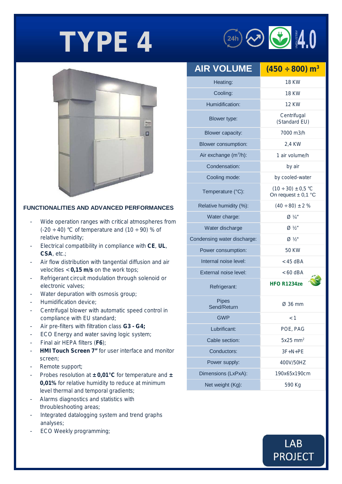



#### **FUNCTIONALITIES AND ADVANCED PERFORMANCES**

- Wide operation ranges with critical atmospheres from  $(-20 \div 40)$  °C of temperature and  $(10 \div 90)$  % of relative humidity;
- Electrical compatibility in compliance with **CE**, **UL**, **CSA**, etc.;
- Air flow distribution with tangential diffusion and air velocities < **0,15 m/s** on the work tops;
- Refrigerant circuit modulation through solenoid or electronic valves;
- Water depuration with osmosis group;
- Humidification device;
- Centrifugal blower with automatic speed control in compliance with EU standard;
- Air pre-filters with filtration class *G3 - G4;*
- ECO Energy and water saving logic system;
- Final air HEPA filters (F6);
- **HMI Touch Screen 7"** for user interface and monitor screen;
- Remote support;
- Probes resolution at **± 0,01°C** for temperature and **± 0,01%** for relative humidity to reduce at minimum level thermal and temporal gradients;
- Alarms diagnostics and statistics with throubleshooting areas;
- Integrated datalogging system and trend graphs analyses;
- ECO Weekly programming;

| <b>AIR VOLUME</b>           | $(450 \div 800)$ m <sup>3</sup>                      |
|-----------------------------|------------------------------------------------------|
| Heating:                    | <b>18 KW</b>                                         |
| Cooling:                    | 18 KW                                                |
| Humidification:             | <b>12 KW</b>                                         |
| Blower type:                | Centrifugal<br>(Standard EU)                         |
| Blower capacity:            | 7000 m3/h                                            |
| Blower consumption:         | 2.4 KW                                               |
| Air exchange $(m^3/h)$ :    | 1 air volume/h                                       |
| Condensation:               | by air                                               |
| Cooling mode:               | by cooled-water                                      |
| Temperature (°C):           | $(10 \div 30) \pm 0.5$ °C<br>On request $\pm$ 0,1 °C |
| Relative humidity (%):      | $(40 \div 80) \pm 2 \%$                              |
| Water charge:               | $Ø$ 1/4"                                             |
| Water discharge             | $Ø$ ½"                                               |
| Condensing water discharge: | $ØV_2"$                                              |
| Power consumption:          | <b>50 KW</b>                                         |
| Internal noise level:       | < 45 dBA                                             |
| External noise level:       | $< 60$ dBA                                           |
| Refrigerant:                | HFO R1234ze                                          |
| <b>Pipes</b><br>Send/Return | Ø 36 mm                                              |
| GWP                         | $\leq 1$                                             |
| Lubrificant:                | POE, PAG                                             |
| Cable section:              | $5x25$ mm <sup>2</sup>                               |
| Conductors:                 | $3F + N + PE$                                        |
| Power supply:               | 400V/50HZ                                            |
| Dimensions (LxPxA):         | 190x65x190cm                                         |
| Net weight (Kg):            | 590 Kg                                               |

### **LAB PROJECT**